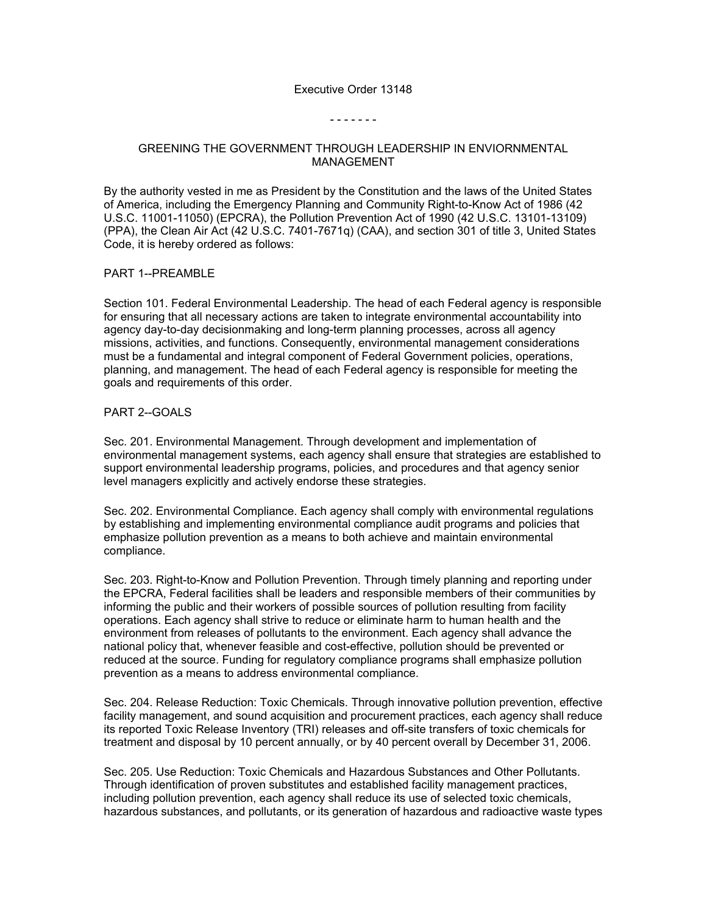#### Executive Order 13148

#### - - - - - - -

#### GREENING THE GOVERNMENT THROUGH LEADERSHIP IN ENVIORNMENTAL MANAGEMENT

By the authority vested in me as President by the Constitution and the laws of the United States of America, including the Emergency Planning and Community Right-to-Know Act of 1986 (42 U.S.C. 11001-11050) (EPCRA), the Pollution Prevention Act of 1990 (42 U.S.C. 13101-13109) (PPA), the Clean Air Act (42 U.S.C. 7401-7671q) (CAA), and section 301 of title 3, United States Code, it is hereby ordered as follows:

#### PART 1--PREAMBLE

Section 101. Federal Environmental Leadership. The head of each Federal agency is responsible for ensuring that all necessary actions are taken to integrate environmental accountability into agency day-to-day decisionmaking and long-term planning processes, across all agency missions, activities, and functions. Consequently, environmental management considerations must be a fundamental and integral component of Federal Government policies, operations, planning, and management. The head of each Federal agency is responsible for meeting the goals and requirements of this order.

#### PART 2--GOALS

Sec. 201. Environmental Management. Through development and implementation of environmental management systems, each agency shall ensure that strategies are established to support environmental leadership programs, policies, and procedures and that agency senior level managers explicitly and actively endorse these strategies.

Sec. 202. Environmental Compliance. Each agency shall comply with environmental regulations by establishing and implementing environmental compliance audit programs and policies that emphasize pollution prevention as a means to both achieve and maintain environmental compliance.

Sec. 203. Right-to-Know and Pollution Prevention. Through timely planning and reporting under the EPCRA, Federal facilities shall be leaders and responsible members of their communities by informing the public and their workers of possible sources of pollution resulting from facility operations. Each agency shall strive to reduce or eliminate harm to human health and the environment from releases of pollutants to the environment. Each agency shall advance the national policy that, whenever feasible and cost-effective, pollution should be prevented or reduced at the source. Funding for regulatory compliance programs shall emphasize pollution prevention as a means to address environmental compliance.

Sec. 204. Release Reduction: Toxic Chemicals. Through innovative pollution prevention, effective facility management, and sound acquisition and procurement practices, each agency shall reduce its reported Toxic Release Inventory (TRI) releases and off-site transfers of toxic chemicals for treatment and disposal by 10 percent annually, or by 40 percent overall by December 31, 2006.

Sec. 205. Use Reduction: Toxic Chemicals and Hazardous Substances and Other Pollutants. Through identification of proven substitutes and established facility management practices, including pollution prevention, each agency shall reduce its use of selected toxic chemicals, hazardous substances, and pollutants, or its generation of hazardous and radioactive waste types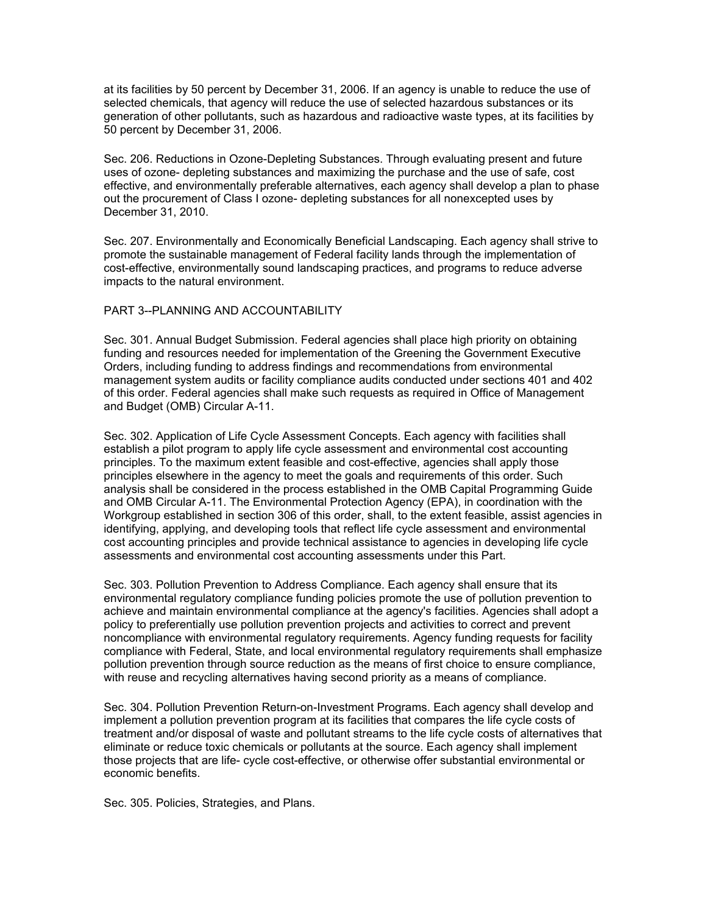at its facilities by 50 percent by December 31, 2006. If an agency is unable to reduce the use of selected chemicals, that agency will reduce the use of selected hazardous substances or its generation of other pollutants, such as hazardous and radioactive waste types, at its facilities by 50 percent by December 31, 2006.

Sec. 206. Reductions in Ozone-Depleting Substances. Through evaluating present and future uses of ozone- depleting substances and maximizing the purchase and the use of safe, cost effective, and environmentally preferable alternatives, each agency shall develop a plan to phase out the procurement of Class I ozone- depleting substances for all nonexcepted uses by December 31, 2010.

Sec. 207. Environmentally and Economically Beneficial Landscaping. Each agency shall strive to promote the sustainable management of Federal facility lands through the implementation of cost-effective, environmentally sound landscaping practices, and programs to reduce adverse impacts to the natural environment.

## PART 3--PLANNING AND ACCOUNTABILITY

Sec. 301. Annual Budget Submission. Federal agencies shall place high priority on obtaining funding and resources needed for implementation of the Greening the Government Executive Orders, including funding to address findings and recommendations from environmental management system audits or facility compliance audits conducted under sections 401 and 402 of this order. Federal agencies shall make such requests as required in Office of Management and Budget (OMB) Circular A-11.

Sec. 302. Application of Life Cycle Assessment Concepts. Each agency with facilities shall establish a pilot program to apply life cycle assessment and environmental cost accounting principles. To the maximum extent feasible and cost-effective, agencies shall apply those principles elsewhere in the agency to meet the goals and requirements of this order. Such analysis shall be considered in the process established in the OMB Capital Programming Guide and OMB Circular A-11. The Environmental Protection Agency (EPA), in coordination with the Workgroup established in section 306 of this order, shall, to the extent feasible, assist agencies in identifying, applying, and developing tools that reflect life cycle assessment and environmental cost accounting principles and provide technical assistance to agencies in developing life cycle assessments and environmental cost accounting assessments under this Part.

Sec. 303. Pollution Prevention to Address Compliance. Each agency shall ensure that its environmental regulatory compliance funding policies promote the use of pollution prevention to achieve and maintain environmental compliance at the agency's facilities. Agencies shall adopt a policy to preferentially use pollution prevention projects and activities to correct and prevent noncompliance with environmental regulatory requirements. Agency funding requests for facility compliance with Federal, State, and local environmental regulatory requirements shall emphasize pollution prevention through source reduction as the means of first choice to ensure compliance, with reuse and recycling alternatives having second priority as a means of compliance.

Sec. 304. Pollution Prevention Return-on-Investment Programs. Each agency shall develop and implement a pollution prevention program at its facilities that compares the life cycle costs of treatment and/or disposal of waste and pollutant streams to the life cycle costs of alternatives that eliminate or reduce toxic chemicals or pollutants at the source. Each agency shall implement those projects that are life- cycle cost-effective, or otherwise offer substantial environmental or economic benefits.

Sec. 305. Policies, Strategies, and Plans.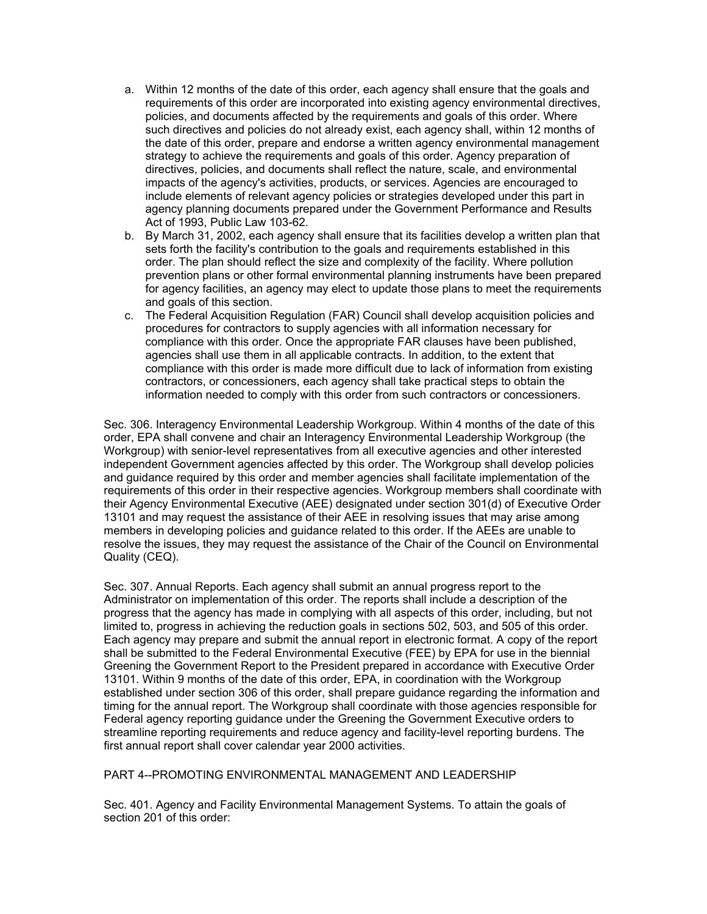- a. Within 12 months of the date of this order, each agency shall ensure that the goals and requirements of this order are incorporated into existing agency environmental directives, policies, and documents affected by the requirements and goals of this order. Where such directives and policies do not already exist, each agency shall, within 12 months of the date of this order, prepare and endorse a written agency environmental management strategy to achieve the requirements and goals of this order. Agency preparation of directives, policies, and documents shall reflect the nature, scale, and environmental impacts of the agency's activities, products, or services. Agencies are encouraged to include elements of relevant agency policies or strategies developed under this part in agency planning documents prepared under the Government Performance and Results Act of 1993, Public Law 103-62.
- b. By March 31, 2002, each agency shall ensure that its facilities develop a written plan that sets forth the facility's contribution to the goals and requirements established in this order. The plan should reflect the size and complexity of the facility. Where pollution prevention plans or other formal environmental planning instruments have been prepared for agency facilities, an agency may elect to update those plans to meet the requirements and goals of this section.
- c. The Federal Acquisition Regulation (FAR) Council shall develop acquisition policies and procedures for contractors to supply agencies with all information necessary for compliance with this order. Once the appropriate FAR clauses have been published, agencies shall use them in all applicable contracts. In addition, to the extent that compliance with this order is made more difficult due to lack of information from existing contractors, or concessioners, each agency shall take practical steps to obtain the information needed to comply with this order from such contractors or concessioners.

Sec. 306. Interagency Environmental Leadership Workgroup. Within 4 months of the date of this order, EPA shall convene and chair an Interagency Environmental Leadership Workgroup (the Workgroup) with senior-level representatives from all executive agencies and other interested independent Government agencies affected by this order. The Workgroup shall develop policies and guidance required by this order and member agencies shall facilitate implementation of the requirements of this order in their respective agencies. Workgroup members shall coordinate with their Agency Environmental Executive (AEE) designated under section 301(d) of Executive Order 13101 and may request the assistance of their AEE in resolving issues that may arise among members in developing policies and guidance related to this order. If the AEEs are unable to resolve the issues, they may request the assistance of the Chair of the Council on Environmental Quality (CEQ).

Sec. 307. Annual Reports. Each agency shall submit an annual progress report to the Administrator on implementation of this order. The reports shall include a description of the progress that the agency has made in complying with all aspects of this order, including, but not limited to, progress in achieving the reduction goals in sections 502, 503, and 505 of this order. Each agency may prepare and submit the annual report in electronic format. A copy of the report shall be submitted to the Federal Environmental Executive (FEE) by EPA for use in the biennial Greening the Government Report to the President prepared in accordance with Executive Order 13101. Within 9 months of the date of this order, EPA, in coordination with the Workgroup established under section 306 of this order, shall prepare guidance regarding the information and timing for the annual report. The Workgroup shall coordinate with those agencies responsible for Federal agency reporting guidance under the Greening the Government Executive orders to streamline reporting requirements and reduce agency and facility-level reporting burdens. The first annual report shall cover calendar year 2000 activities.

## PART 4--PROMOTING ENVIRONMENTAL MANAGEMENT AND LEADERSHIP

Sec. 401. Agency and Facility Environmental Management Systems. To attain the goals of section 201 of this order: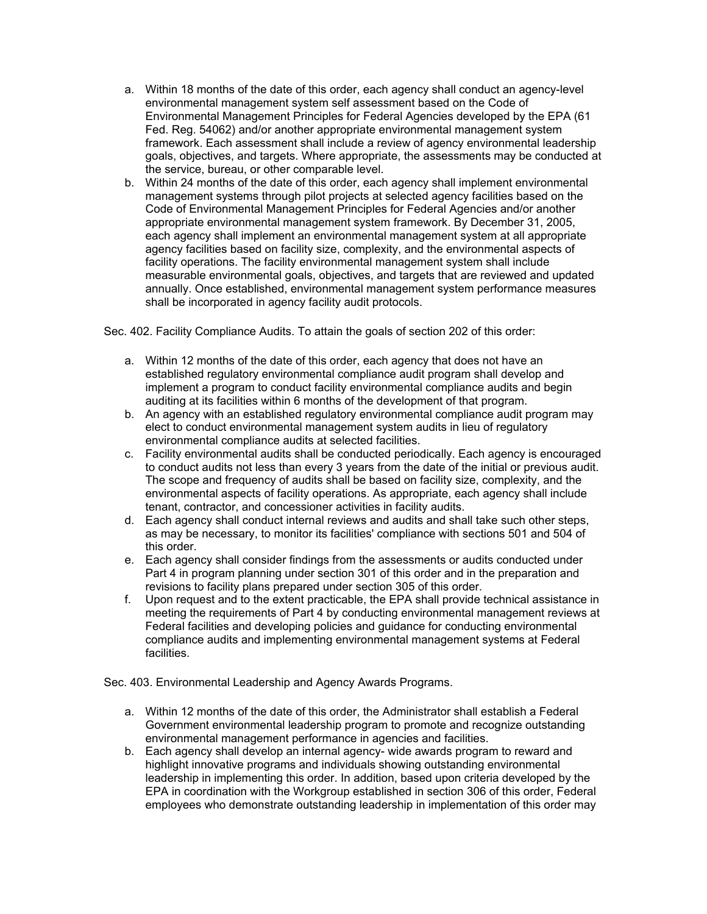- a. Within 18 months of the date of this order, each agency shall conduct an agency-level environmental management system self assessment based on the Code of Environmental Management Principles for Federal Agencies developed by the EPA (61 Fed. Reg. 54062) and/or another appropriate environmental management system framework. Each assessment shall include a review of agency environmental leadership goals, objectives, and targets. Where appropriate, the assessments may be conducted at the service, bureau, or other comparable level.
- b. Within 24 months of the date of this order, each agency shall implement environmental management systems through pilot projects at selected agency facilities based on the Code of Environmental Management Principles for Federal Agencies and/or another appropriate environmental management system framework. By December 31, 2005, each agency shall implement an environmental management system at all appropriate agency facilities based on facility size, complexity, and the environmental aspects of facility operations. The facility environmental management system shall include measurable environmental goals, objectives, and targets that are reviewed and updated annually. Once established, environmental management system performance measures shall be incorporated in agency facility audit protocols.

Sec. 402. Facility Compliance Audits. To attain the goals of section 202 of this order:

- a. Within 12 months of the date of this order, each agency that does not have an established regulatory environmental compliance audit program shall develop and implement a program to conduct facility environmental compliance audits and begin auditing at its facilities within 6 months of the development of that program.
- b. An agency with an established regulatory environmental compliance audit program may elect to conduct environmental management system audits in lieu of regulatory environmental compliance audits at selected facilities.
- c. Facility environmental audits shall be conducted periodically. Each agency is encouraged to conduct audits not less than every 3 years from the date of the initial or previous audit. The scope and frequency of audits shall be based on facility size, complexity, and the environmental aspects of facility operations. As appropriate, each agency shall include tenant, contractor, and concessioner activities in facility audits.
- d. Each agency shall conduct internal reviews and audits and shall take such other steps, as may be necessary, to monitor its facilities' compliance with sections 501 and 504 of this order.
- e. Each agency shall consider findings from the assessments or audits conducted under Part 4 in program planning under section 301 of this order and in the preparation and revisions to facility plans prepared under section 305 of this order.
- f. Upon request and to the extent practicable, the EPA shall provide technical assistance in meeting the requirements of Part 4 by conducting environmental management reviews at Federal facilities and developing policies and guidance for conducting environmental compliance audits and implementing environmental management systems at Federal facilities.

Sec. 403. Environmental Leadership and Agency Awards Programs.

- a. Within 12 months of the date of this order, the Administrator shall establish a Federal Government environmental leadership program to promote and recognize outstanding environmental management performance in agencies and facilities.
- b. Each agency shall develop an internal agency- wide awards program to reward and highlight innovative programs and individuals showing outstanding environmental leadership in implementing this order. In addition, based upon criteria developed by the EPA in coordination with the Workgroup established in section 306 of this order, Federal employees who demonstrate outstanding leadership in implementation of this order may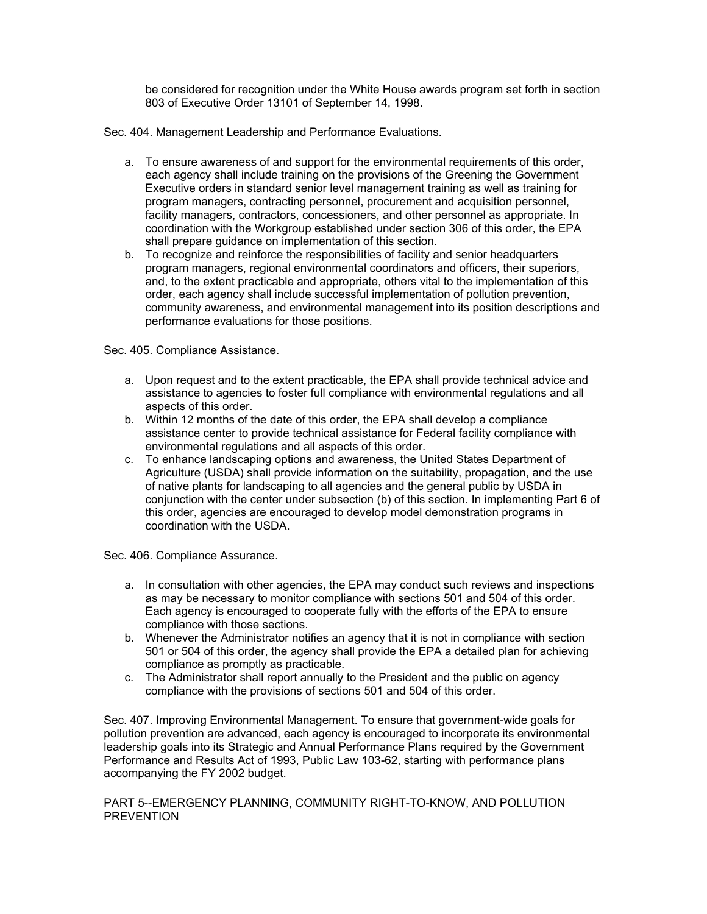be considered for recognition under the White House awards program set forth in section 803 of Executive Order 13101 of September 14, 1998.

Sec. 404. Management Leadership and Performance Evaluations.

- a. To ensure awareness of and support for the environmental requirements of this order, each agency shall include training on the provisions of the Greening the Government Executive orders in standard senior level management training as well as training for program managers, contracting personnel, procurement and acquisition personnel, facility managers, contractors, concessioners, and other personnel as appropriate. In coordination with the Workgroup established under section 306 of this order, the EPA shall prepare guidance on implementation of this section.
- b. To recognize and reinforce the responsibilities of facility and senior headquarters program managers, regional environmental coordinators and officers, their superiors, and, to the extent practicable and appropriate, others vital to the implementation of this order, each agency shall include successful implementation of pollution prevention, community awareness, and environmental management into its position descriptions and performance evaluations for those positions.

Sec. 405. Compliance Assistance.

- a. Upon request and to the extent practicable, the EPA shall provide technical advice and assistance to agencies to foster full compliance with environmental regulations and all aspects of this order.
- b. Within 12 months of the date of this order, the EPA shall develop a compliance assistance center to provide technical assistance for Federal facility compliance with environmental regulations and all aspects of this order.
- c. To enhance landscaping options and awareness, the United States Department of Agriculture (USDA) shall provide information on the suitability, propagation, and the use of native plants for landscaping to all agencies and the general public by USDA in conjunction with the center under subsection (b) of this section. In implementing Part 6 of this order, agencies are encouraged to develop model demonstration programs in coordination with the USDA.

Sec. 406. Compliance Assurance.

- a. In consultation with other agencies, the EPA may conduct such reviews and inspections as may be necessary to monitor compliance with sections 501 and 504 of this order. Each agency is encouraged to cooperate fully with the efforts of the EPA to ensure compliance with those sections.
- b. Whenever the Administrator notifies an agency that it is not in compliance with section 501 or 504 of this order, the agency shall provide the EPA a detailed plan for achieving compliance as promptly as practicable.
- c. The Administrator shall report annually to the President and the public on agency compliance with the provisions of sections 501 and 504 of this order.

Sec. 407. Improving Environmental Management. To ensure that government-wide goals for pollution prevention are advanced, each agency is encouraged to incorporate its environmental leadership goals into its Strategic and Annual Performance Plans required by the Government Performance and Results Act of 1993, Public Law 103-62, starting with performance plans accompanying the FY 2002 budget.

PART 5--EMERGENCY PLANNING, COMMUNITY RIGHT-TO-KNOW, AND POLLUTION PREVENTION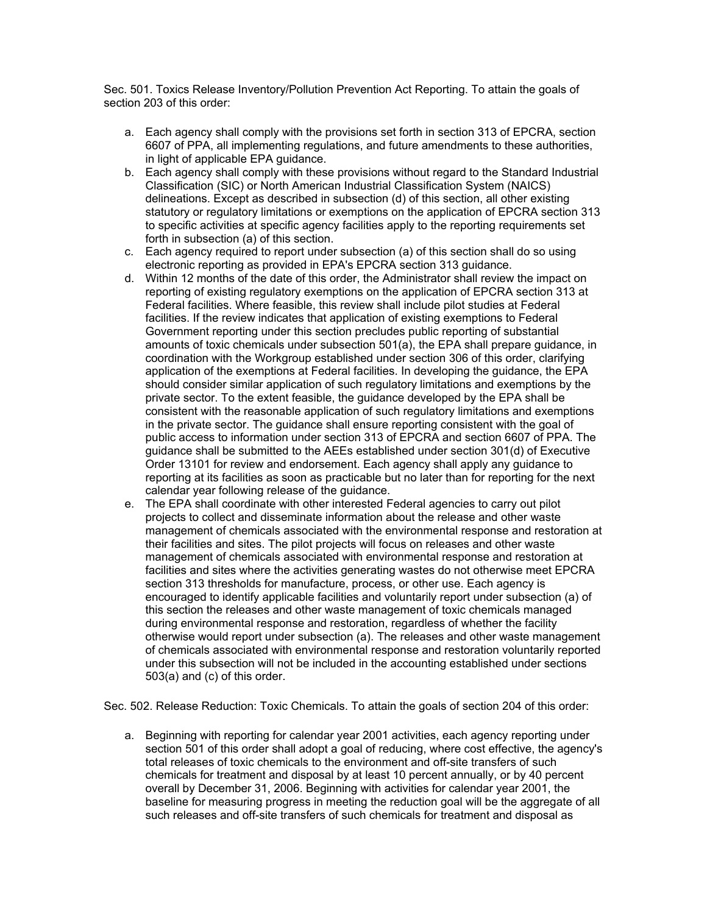Sec. 501. Toxics Release Inventory/Pollution Prevention Act Reporting. To attain the goals of section 203 of this order:

- a. Each agency shall comply with the provisions set forth in section 313 of EPCRA, section 6607 of PPA, all implementing regulations, and future amendments to these authorities, in light of applicable EPA guidance.
- b. Each agency shall comply with these provisions without regard to the Standard Industrial Classification (SIC) or North American Industrial Classification System (NAICS) delineations. Except as described in subsection (d) of this section, all other existing statutory or regulatory limitations or exemptions on the application of EPCRA section 313 to specific activities at specific agency facilities apply to the reporting requirements set forth in subsection (a) of this section.
- c. Each agency required to report under subsection (a) of this section shall do so using electronic reporting as provided in EPA's EPCRA section 313 guidance.
- d. Within 12 months of the date of this order, the Administrator shall review the impact on reporting of existing regulatory exemptions on the application of EPCRA section 313 at Federal facilities. Where feasible, this review shall include pilot studies at Federal facilities. If the review indicates that application of existing exemptions to Federal Government reporting under this section precludes public reporting of substantial amounts of toxic chemicals under subsection 501(a), the EPA shall prepare guidance, in coordination with the Workgroup established under section 306 of this order, clarifying application of the exemptions at Federal facilities. In developing the guidance, the EPA should consider similar application of such regulatory limitations and exemptions by the private sector. To the extent feasible, the guidance developed by the EPA shall be consistent with the reasonable application of such regulatory limitations and exemptions in the private sector. The guidance shall ensure reporting consistent with the goal of public access to information under section 313 of EPCRA and section 6607 of PPA. The guidance shall be submitted to the AEEs established under section 301(d) of Executive Order 13101 for review and endorsement. Each agency shall apply any guidance to reporting at its facilities as soon as practicable but no later than for reporting for the next calendar year following release of the guidance.
- e. The EPA shall coordinate with other interested Federal agencies to carry out pilot projects to collect and disseminate information about the release and other waste management of chemicals associated with the environmental response and restoration at their facilities and sites. The pilot projects will focus on releases and other waste management of chemicals associated with environmental response and restoration at facilities and sites where the activities generating wastes do not otherwise meet EPCRA section 313 thresholds for manufacture, process, or other use. Each agency is encouraged to identify applicable facilities and voluntarily report under subsection (a) of this section the releases and other waste management of toxic chemicals managed during environmental response and restoration, regardless of whether the facility otherwise would report under subsection (a). The releases and other waste management of chemicals associated with environmental response and restoration voluntarily reported under this subsection will not be included in the accounting established under sections 503(a) and (c) of this order.

Sec. 502. Release Reduction: Toxic Chemicals. To attain the goals of section 204 of this order:

a. Beginning with reporting for calendar year 2001 activities, each agency reporting under section 501 of this order shall adopt a goal of reducing, where cost effective, the agency's total releases of toxic chemicals to the environment and off-site transfers of such chemicals for treatment and disposal by at least 10 percent annually, or by 40 percent overall by December 31, 2006. Beginning with activities for calendar year 2001, the baseline for measuring progress in meeting the reduction goal will be the aggregate of all such releases and off-site transfers of such chemicals for treatment and disposal as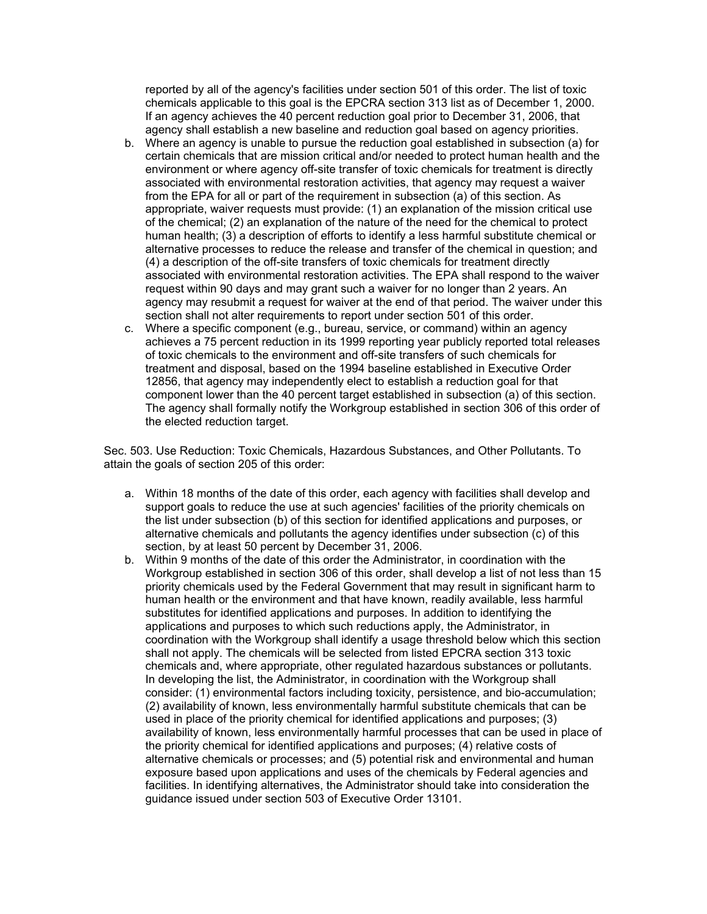reported by all of the agency's facilities under section 501 of this order. The list of toxic chemicals applicable to this goal is the EPCRA section 313 list as of December 1, 2000. If an agency achieves the 40 percent reduction goal prior to December 31, 2006, that agency shall establish a new baseline and reduction goal based on agency priorities.

- b. Where an agency is unable to pursue the reduction goal established in subsection (a) for certain chemicals that are mission critical and/or needed to protect human health and the environment or where agency off-site transfer of toxic chemicals for treatment is directly associated with environmental restoration activities, that agency may request a waiver from the EPA for all or part of the requirement in subsection (a) of this section. As appropriate, waiver requests must provide: (1) an explanation of the mission critical use of the chemical; (2) an explanation of the nature of the need for the chemical to protect human health; (3) a description of efforts to identify a less harmful substitute chemical or alternative processes to reduce the release and transfer of the chemical in question; and (4) a description of the off-site transfers of toxic chemicals for treatment directly associated with environmental restoration activities. The EPA shall respond to the waiver request within 90 days and may grant such a waiver for no longer than 2 years. An agency may resubmit a request for waiver at the end of that period. The waiver under this section shall not alter requirements to report under section 501 of this order.
- c. Where a specific component (e.g., bureau, service, or command) within an agency achieves a 75 percent reduction in its 1999 reporting year publicly reported total releases of toxic chemicals to the environment and off-site transfers of such chemicals for treatment and disposal, based on the 1994 baseline established in Executive Order 12856, that agency may independently elect to establish a reduction goal for that component lower than the 40 percent target established in subsection (a) of this section. The agency shall formally notify the Workgroup established in section 306 of this order of the elected reduction target.

Sec. 503. Use Reduction: Toxic Chemicals, Hazardous Substances, and Other Pollutants. To attain the goals of section 205 of this order:

- a. Within 18 months of the date of this order, each agency with facilities shall develop and support goals to reduce the use at such agencies' facilities of the priority chemicals on the list under subsection (b) of this section for identified applications and purposes, or alternative chemicals and pollutants the agency identifies under subsection (c) of this section, by at least 50 percent by December 31, 2006.
- b. Within 9 months of the date of this order the Administrator, in coordination with the Workgroup established in section 306 of this order, shall develop a list of not less than 15 priority chemicals used by the Federal Government that may result in significant harm to human health or the environment and that have known, readily available, less harmful substitutes for identified applications and purposes. In addition to identifying the applications and purposes to which such reductions apply, the Administrator, in coordination with the Workgroup shall identify a usage threshold below which this section shall not apply. The chemicals will be selected from listed EPCRA section 313 toxic chemicals and, where appropriate, other regulated hazardous substances or pollutants. In developing the list, the Administrator, in coordination with the Workgroup shall consider: (1) environmental factors including toxicity, persistence, and bio-accumulation; (2) availability of known, less environmentally harmful substitute chemicals that can be used in place of the priority chemical for identified applications and purposes; (3) availability of known, less environmentally harmful processes that can be used in place of the priority chemical for identified applications and purposes; (4) relative costs of alternative chemicals or processes; and (5) potential risk and environmental and human exposure based upon applications and uses of the chemicals by Federal agencies and facilities. In identifying alternatives, the Administrator should take into consideration the guidance issued under section 503 of Executive Order 13101.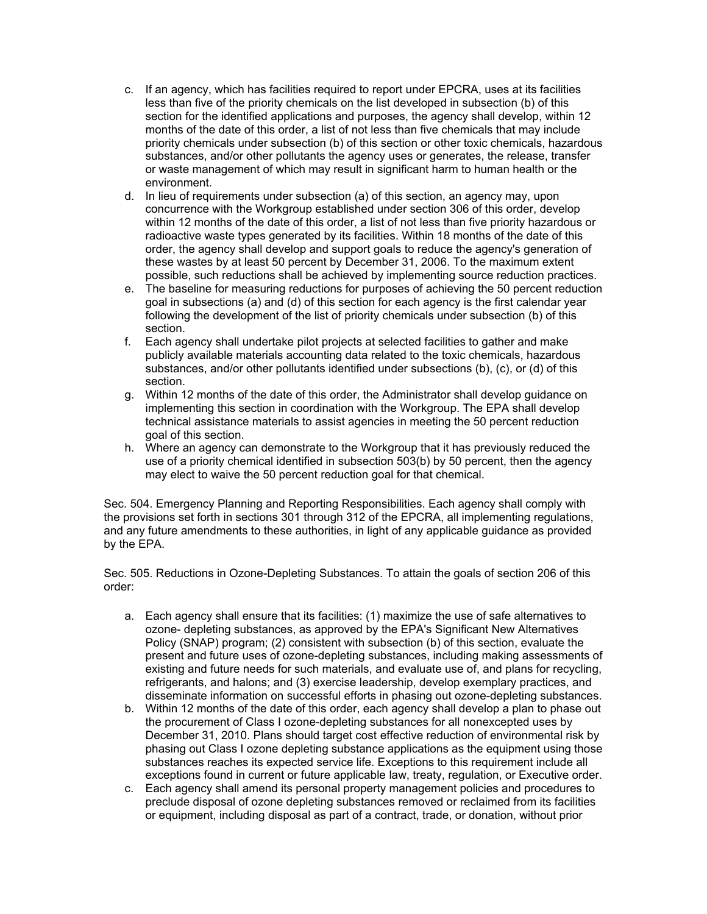- c. If an agency, which has facilities required to report under EPCRA, uses at its facilities less than five of the priority chemicals on the list developed in subsection (b) of this section for the identified applications and purposes, the agency shall develop, within 12 months of the date of this order, a list of not less than five chemicals that may include priority chemicals under subsection (b) of this section or other toxic chemicals, hazardous substances, and/or other pollutants the agency uses or generates, the release, transfer or waste management of which may result in significant harm to human health or the environment.
- d. In lieu of requirements under subsection (a) of this section, an agency may, upon concurrence with the Workgroup established under section 306 of this order, develop within 12 months of the date of this order, a list of not less than five priority hazardous or radioactive waste types generated by its facilities. Within 18 months of the date of this order, the agency shall develop and support goals to reduce the agency's generation of these wastes by at least 50 percent by December 31, 2006. To the maximum extent possible, such reductions shall be achieved by implementing source reduction practices.
- e. The baseline for measuring reductions for purposes of achieving the 50 percent reduction goal in subsections (a) and (d) of this section for each agency is the first calendar year following the development of the list of priority chemicals under subsection (b) of this section.
- f. Each agency shall undertake pilot projects at selected facilities to gather and make publicly available materials accounting data related to the toxic chemicals, hazardous substances, and/or other pollutants identified under subsections (b), (c), or (d) of this section.
- g. Within 12 months of the date of this order, the Administrator shall develop guidance on implementing this section in coordination with the Workgroup. The EPA shall develop technical assistance materials to assist agencies in meeting the 50 percent reduction goal of this section.
- h. Where an agency can demonstrate to the Workgroup that it has previously reduced the use of a priority chemical identified in subsection 503(b) by 50 percent, then the agency may elect to waive the 50 percent reduction goal for that chemical.

Sec. 504. Emergency Planning and Reporting Responsibilities. Each agency shall comply with the provisions set forth in sections 301 through 312 of the EPCRA, all implementing regulations, and any future amendments to these authorities, in light of any applicable guidance as provided by the EPA.

Sec. 505. Reductions in Ozone-Depleting Substances. To attain the goals of section 206 of this order:

- a. Each agency shall ensure that its facilities: (1) maximize the use of safe alternatives to ozone- depleting substances, as approved by the EPA's Significant New Alternatives Policy (SNAP) program; (2) consistent with subsection (b) of this section, evaluate the present and future uses of ozone-depleting substances, including making assessments of existing and future needs for such materials, and evaluate use of, and plans for recycling, refrigerants, and halons; and (3) exercise leadership, develop exemplary practices, and disseminate information on successful efforts in phasing out ozone-depleting substances.
- b. Within 12 months of the date of this order, each agency shall develop a plan to phase out the procurement of Class I ozone-depleting substances for all nonexcepted uses by December 31, 2010. Plans should target cost effective reduction of environmental risk by phasing out Class I ozone depleting substance applications as the equipment using those substances reaches its expected service life. Exceptions to this requirement include all exceptions found in current or future applicable law, treaty, regulation, or Executive order.
- c. Each agency shall amend its personal property management policies and procedures to preclude disposal of ozone depleting substances removed or reclaimed from its facilities or equipment, including disposal as part of a contract, trade, or donation, without prior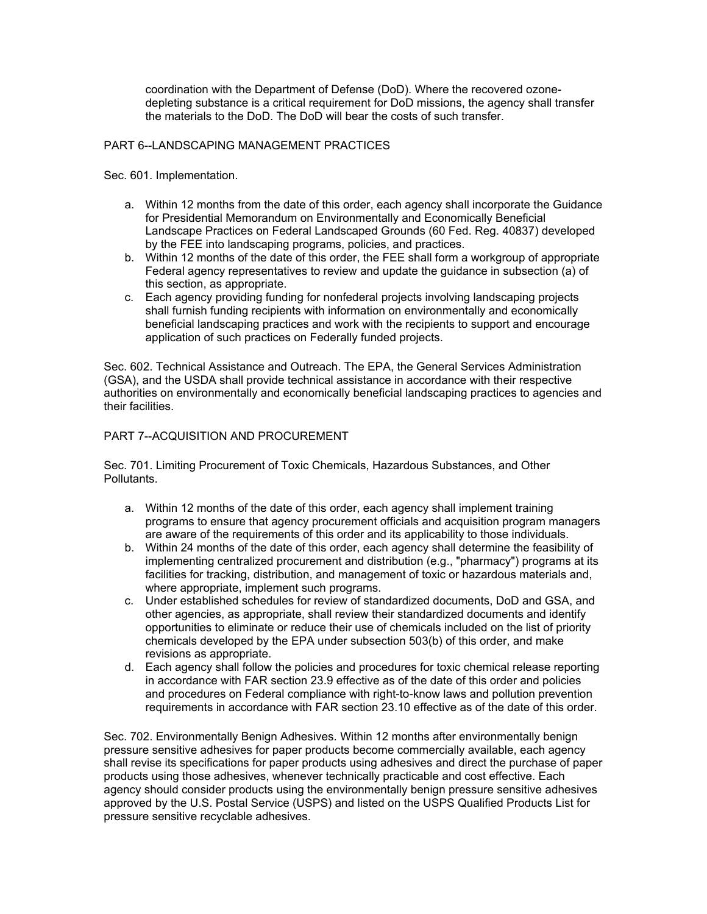coordination with the Department of Defense (DoD). Where the recovered ozonedepleting substance is a critical requirement for DoD missions, the agency shall transfer the materials to the DoD. The DoD will bear the costs of such transfer.

# PART 6--LANDSCAPING MANAGEMENT PRACTICES

Sec. 601. Implementation.

- a. Within 12 months from the date of this order, each agency shall incorporate the Guidance for Presidential Memorandum on Environmentally and Economically Beneficial Landscape Practices on Federal Landscaped Grounds (60 Fed. Reg. 40837) developed by the FEE into landscaping programs, policies, and practices.
- b. Within 12 months of the date of this order, the FEE shall form a workgroup of appropriate Federal agency representatives to review and update the guidance in subsection (a) of this section, as appropriate.
- c. Each agency providing funding for nonfederal projects involving landscaping projects shall furnish funding recipients with information on environmentally and economically beneficial landscaping practices and work with the recipients to support and encourage application of such practices on Federally funded projects.

Sec. 602. Technical Assistance and Outreach. The EPA, the General Services Administration (GSA), and the USDA shall provide technical assistance in accordance with their respective authorities on environmentally and economically beneficial landscaping practices to agencies and their facilities.

## PART 7--ACQUISITION AND PROCUREMENT

Sec. 701. Limiting Procurement of Toxic Chemicals, Hazardous Substances, and Other Pollutants.

- a. Within 12 months of the date of this order, each agency shall implement training programs to ensure that agency procurement officials and acquisition program managers are aware of the requirements of this order and its applicability to those individuals.
- b. Within 24 months of the date of this order, each agency shall determine the feasibility of implementing centralized procurement and distribution (e.g., "pharmacy") programs at its facilities for tracking, distribution, and management of toxic or hazardous materials and, where appropriate, implement such programs.
- c. Under established schedules for review of standardized documents, DoD and GSA, and other agencies, as appropriate, shall review their standardized documents and identify opportunities to eliminate or reduce their use of chemicals included on the list of priority chemicals developed by the EPA under subsection 503(b) of this order, and make revisions as appropriate.
- d. Each agency shall follow the policies and procedures for toxic chemical release reporting in accordance with FAR section 23.9 effective as of the date of this order and policies and procedures on Federal compliance with right-to-know laws and pollution prevention requirements in accordance with FAR section 23.10 effective as of the date of this order.

Sec. 702. Environmentally Benign Adhesives. Within 12 months after environmentally benign pressure sensitive adhesives for paper products become commercially available, each agency shall revise its specifications for paper products using adhesives and direct the purchase of paper products using those adhesives, whenever technically practicable and cost effective. Each agency should consider products using the environmentally benign pressure sensitive adhesives approved by the U.S. Postal Service (USPS) and listed on the USPS Qualified Products List for pressure sensitive recyclable adhesives.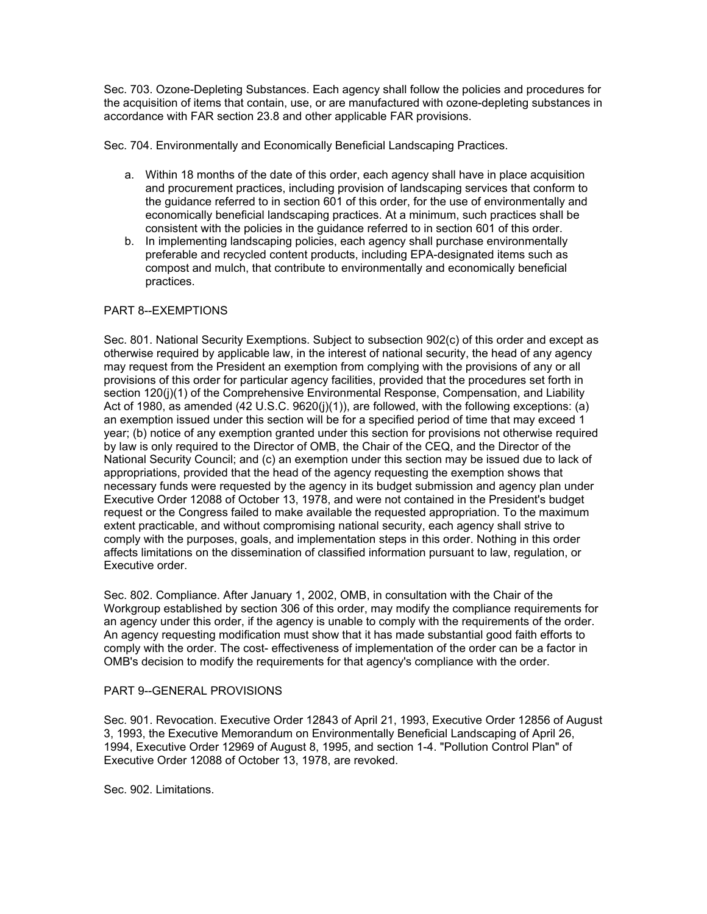Sec. 703. Ozone-Depleting Substances. Each agency shall follow the policies and procedures for the acquisition of items that contain, use, or are manufactured with ozone-depleting substances in accordance with FAR section 23.8 and other applicable FAR provisions.

Sec. 704. Environmentally and Economically Beneficial Landscaping Practices.

- a. Within 18 months of the date of this order, each agency shall have in place acquisition and procurement practices, including provision of landscaping services that conform to the guidance referred to in section 601 of this order, for the use of environmentally and economically beneficial landscaping practices. At a minimum, such practices shall be consistent with the policies in the guidance referred to in section 601 of this order.
- b. In implementing landscaping policies, each agency shall purchase environmentally preferable and recycled content products, including EPA-designated items such as compost and mulch, that contribute to environmentally and economically beneficial practices.

# PART 8--EXEMPTIONS

Sec. 801. National Security Exemptions. Subject to subsection 902(c) of this order and except as otherwise required by applicable law, in the interest of national security, the head of any agency may request from the President an exemption from complying with the provisions of any or all provisions of this order for particular agency facilities, provided that the procedures set forth in section 120(j)(1) of the Comprehensive Environmental Response, Compensation, and Liability Act of 1980, as amended (42 U.S.C. 9620(j)(1)), are followed, with the following exceptions: (a) an exemption issued under this section will be for a specified period of time that may exceed 1 year; (b) notice of any exemption granted under this section for provisions not otherwise required by law is only required to the Director of OMB, the Chair of the CEQ, and the Director of the National Security Council; and (c) an exemption under this section may be issued due to lack of appropriations, provided that the head of the agency requesting the exemption shows that necessary funds were requested by the agency in its budget submission and agency plan under Executive Order 12088 of October 13, 1978, and were not contained in the President's budget request or the Congress failed to make available the requested appropriation. To the maximum extent practicable, and without compromising national security, each agency shall strive to comply with the purposes, goals, and implementation steps in this order. Nothing in this order affects limitations on the dissemination of classified information pursuant to law, regulation, or Executive order.

Sec. 802. Compliance. After January 1, 2002, OMB, in consultation with the Chair of the Workgroup established by section 306 of this order, may modify the compliance requirements for an agency under this order, if the agency is unable to comply with the requirements of the order. An agency requesting modification must show that it has made substantial good faith efforts to comply with the order. The cost- effectiveness of implementation of the order can be a factor in OMB's decision to modify the requirements for that agency's compliance with the order.

# PART 9--GENERAL PROVISIONS

Sec. 901. Revocation. Executive Order 12843 of April 21, 1993, Executive Order 12856 of August 3, 1993, the Executive Memorandum on Environmentally Beneficial Landscaping of April 26, 1994, Executive Order 12969 of August 8, 1995, and section 1-4. "Pollution Control Plan" of Executive Order 12088 of October 13, 1978, are revoked.

Sec. 902. Limitations.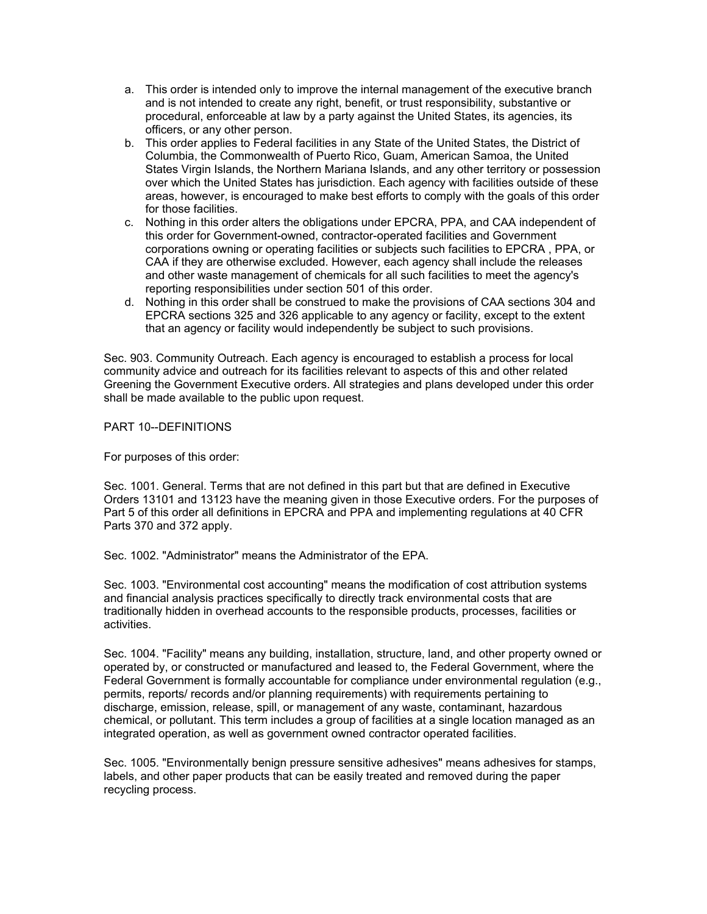- a. This order is intended only to improve the internal management of the executive branch and is not intended to create any right, benefit, or trust responsibility, substantive or procedural, enforceable at law by a party against the United States, its agencies, its officers, or any other person.
- b. This order applies to Federal facilities in any State of the United States, the District of Columbia, the Commonwealth of Puerto Rico, Guam, American Samoa, the United States Virgin Islands, the Northern Mariana Islands, and any other territory or possession over which the United States has jurisdiction. Each agency with facilities outside of these areas, however, is encouraged to make best efforts to comply with the goals of this order for those facilities.
- c. Nothing in this order alters the obligations under EPCRA, PPA, and CAA independent of this order for Government-owned, contractor-operated facilities and Government corporations owning or operating facilities or subjects such facilities to EPCRA , PPA, or CAA if they are otherwise excluded. However, each agency shall include the releases and other waste management of chemicals for all such facilities to meet the agency's reporting responsibilities under section 501 of this order.
- d. Nothing in this order shall be construed to make the provisions of CAA sections 304 and EPCRA sections 325 and 326 applicable to any agency or facility, except to the extent that an agency or facility would independently be subject to such provisions.

Sec. 903. Community Outreach. Each agency is encouraged to establish a process for local community advice and outreach for its facilities relevant to aspects of this and other related Greening the Government Executive orders. All strategies and plans developed under this order shall be made available to the public upon request.

PART 10--DEFINITIONS

For purposes of this order:

Sec. 1001. General. Terms that are not defined in this part but that are defined in Executive Orders 13101 and 13123 have the meaning given in those Executive orders. For the purposes of Part 5 of this order all definitions in EPCRA and PPA and implementing regulations at 40 CFR Parts 370 and 372 apply.

Sec. 1002. "Administrator" means the Administrator of the EPA.

Sec. 1003. "Environmental cost accounting" means the modification of cost attribution systems and financial analysis practices specifically to directly track environmental costs that are traditionally hidden in overhead accounts to the responsible products, processes, facilities or activities.

Sec. 1004. "Facility" means any building, installation, structure, land, and other property owned or operated by, or constructed or manufactured and leased to, the Federal Government, where the Federal Government is formally accountable for compliance under environmental regulation (e.g., permits, reports/ records and/or planning requirements) with requirements pertaining to discharge, emission, release, spill, or management of any waste, contaminant, hazardous chemical, or pollutant. This term includes a group of facilities at a single location managed as an integrated operation, as well as government owned contractor operated facilities.

Sec. 1005. "Environmentally benign pressure sensitive adhesives" means adhesives for stamps, labels, and other paper products that can be easily treated and removed during the paper recycling process.